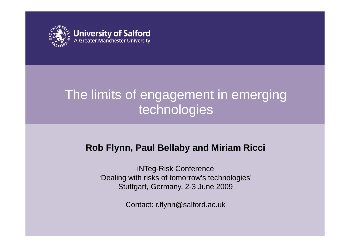

### The limits of engagement in emerging technologies

### **Rob Fl y, y nn Paul Bellab y and Miriam Ricci**

iNTeg-Risk Conference 'Dealing with risks of tomorrow's technologies' Stuttgart, Germany, 2-3 June 2009

Contact: r.flynn@salford.ac.uk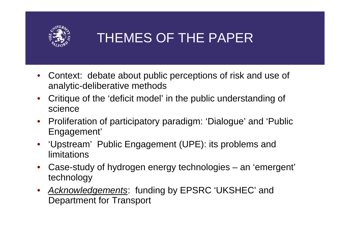

### THEMES OF THE PAPER

- $\bullet$  Context: debate about public perceptions of risk and use of analytic-deliberative methods
- •• Critique of the 'deficit model' in the public understanding of science
- $\bullet$ Proliferation of participatory paradigm: 'Dialogue' and 'Public Engagement'
- 'Upstream' Public Engagement (UPE): its problems and limitations --------
- $\bullet$  Case-study of hydrogen energy technologies – an 'emergent' technology
- *Acknowledgements*: funding by EPSRC 'UKSHEC' and Department for Transport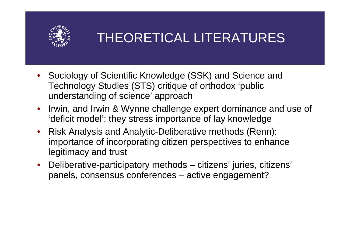

### THEORETICAL LITERATURES

- Sociology of Scientific Knowledge (SSK) and Science and Technology Studies (STS) critique of orthodox 'public understanding of science' approach
- • Irwin, and Irwin & Wynne challenge expert dominance and use of 'deficit model'; they stress importance of lay knowledge
- • Risk Analysis and Analytic-Deliberative methods (Renn): importance of incorporating citizen perspectives to enhance legitimacy and trust
- $\bullet$  Deliberative-participatory methods – citizens' juries, citizens' panels, consensus conferences – active engagement?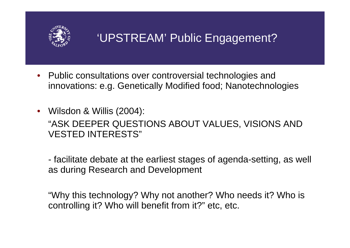

### 'UPSTREAM' Public Engagement?

- $\bullet$  Public consultations over controversial technologies and innovations: e.g. Genetically Modified food; Nanotechnologies
- Wilsdon & Willis (2004): "ASK DEEPER QUESTIONS ABOUT VALUES, VISIONS AND VESTED INTERESTS"

 facilitate debate at the earliest stages of agenda-setting, as well as during Research and Development

"Why this technology? Why not another? Who needs it? Who is controlling it? Who will benefit from it?" etc, etc.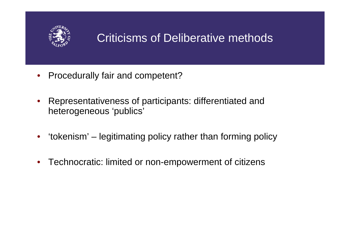

### Criticisms of Deliberative methods

- $\bullet$ Procedurally fair and competent?
- • Representativeness of participants: differentiated and heterogeneous 'publics'
- •'tokenism' – legitimating policy rather than forming policy
- $\bullet$ Technocratic: limited or non-empowerment of citizens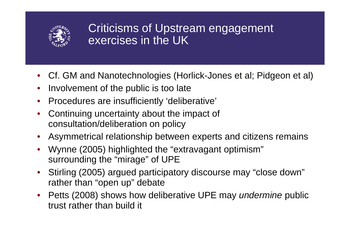

- Cf. GM and Nanotechnologies (Horlick-Jones et al; Pidgeon et al)
- $\bullet$ Involvement of the public is too late
- •Procedures are insufficiently 'deliberative'
- • Continuing uncertainty about the impact of consultation/deliberation on policy
- •Asymmetrical relationship between experts and citizens remains
- •• Wynne (2005) highlighted the "extravagant optimism" surrounding the "mirage" of UPE
- • Stirling (2005) argued participatory discourse may "close down" rather than "open up" debate
- • Petts (2008) shows how deliberative UPE may *undermine* public trust rather than build it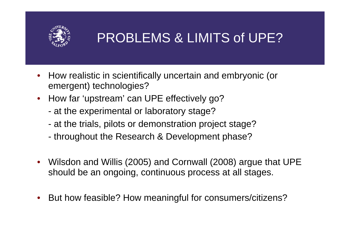

#### PROBLEMS & LIMITS of UPE?

- $\bullet$  How realistic in scientifically uncertain and embryonic (or emergent) technologies?
- How far 'upstream' can UPE effectively go?
	- at the experimental or laboratory stage?
	- at the trials, pilots or demonstration project stage?
	- throughout the Research & Development phase?
- • Wilsdon and Willis (2005) and Cornwall (2008) argue that UPE should be an ongoing, continuous process at all stages.
- •But how feasible? How meaningful for consumers/citizens?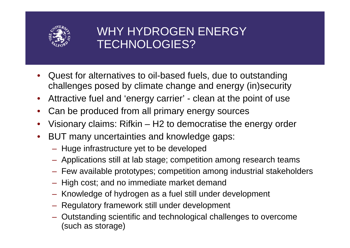

### WHY HYDROGEN ENERGY TECHNOLOGIES?

- • Quest for alternatives to oil-based fuels, due to outstanding challenges posed by climate change and energy (in)security
- •• Attractive fuel and 'energy carrier' - clean at the point of use
- •Can be produced from all primary energy sources
- • Visionary claims: Rifkin – H 2 to democratise the energy order
- • BUT many uncertainties and knowledge gaps:
	- Huge infrastructure yet to be developed
	- Applications still at lab stage; competition among research teams
	- Few available prototypes; competition among industrial stakeholders
	- High cost; and no immediate market demand
	- Knowledge of hydrogen as a fuel still under development
	- Regulatory framework still under development
	- Outstanding scientific and technological challenges to overcome (such as storage)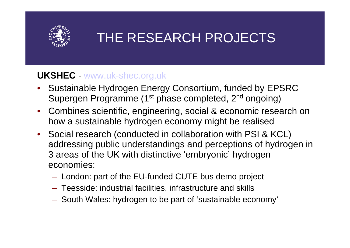

### THE RESEARCH PROJECTS

#### **UKSHEC** www.uk-shec.org.uk

- Sustainable Hydrogen Energy Consortium, funded by EPSRC Supergen Programme (1st phase completed, 2<sup>nd</sup> ongoing)
- Combines scientific, engineering, social & economic research on how <sup>a</sup> sustainable hydrogen economy might be realised
- Social research (conducted in collaboration with PSI & KCL) addressing public understandings and perceptions of hydrogen in 3 areas of the UK with distinctive 'embryonic' hydrogen economies:
	- London: part of the EU-funded CUTE bus demo project
	- Teesside: industrial facilities, infrastructure and skills
	- South Wales: hydrogen to be part of 'sustainable economy'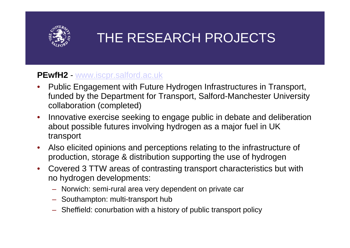

### THE RESEARCH PROJECTS

#### **PEwfH2** www.iscpr.salford.ac.uk

- • Public Engagement with Future Hydrogen Infrastructures in Transport, funded by the Department for Transport, Salford-Manchester University collaboration (completed)
- • Innovative exercise seeking to engage public in debate and deliberation about possible futures involving hydrogen as a major fuel in UK transport
- •• Also elicited opinions and perceptions relating to the infrastructure of production, storage & distribution supporting the use of hydrogen
- • Covered 3 TTW areas of contrasting transport characteristics but with no hydrogen developments:
	- Norwich: semi-rural area very dependent on private car
	- Southampton: multi-transport hub
	- Sheffield: conurbation with a history of public transport policy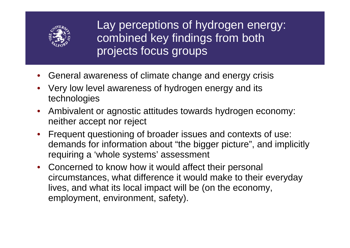

Lay perceptions of hydrogen energy: combined key findings from both projects focus groups

- General awareness of climate change and energy crisis
- • Very low level awareness of hydrogen energy and its technologies
- Ambivalent or agnostic attitudes towards hydrogen economy: neither accept nor reject
- • Frequent questioning of broader issues and contexts of use: demands for information about "the bigger picture", and implicitly requiring a 'whole systems' assessment
- Concerned to know how it would affect their personal circumstances, what difference it would make to their everyday lives, and what its local impact will be (on the economy, employment, environment, safety).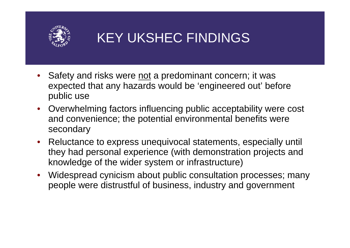

## KEY UKSHEC FINDINGS

- •Safety and risks were not a predominant concern; it was expected that any hazards would be 'engineered out' before public use
- Overwhelming factors influencing public acceptability were cost and convenience; the potential environmental benefits were secondary
- • Reluctance to express unequivocal statements, especially until they had personal experience (with demonstration projects and knowledge of the wider system or infrastructure)
- • Widespread cynicism about public consultation processes; many people were distrustful of business, industry and government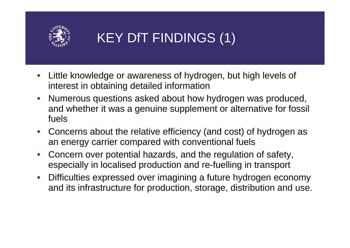

# KEY DfT FINDINGS (1)

- • Little knowledge or awareness of hydrogen, but high levels of interest in obtaining detailed information
- •• Numerous questions asked about how hydrogen was produced, and whether it was a genuine supplement or alternative for fossil fuels
- • Concerns about the relative efficiency (and cost) of hydrogen as an energy carrier compared with conventional fuels
- $\bullet$ • Concern over potential hazards, and the regulation of safety, especially in localised production and re-fuelling in transport
- • Difficulties expressed over imagining <sup>a</sup> future hydrogen economy and its infrastructure for production, storage, distribution and use.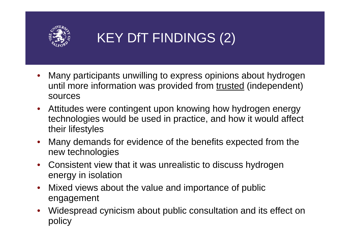

# KEY DfT FINDINGS (2)

- • Many participants unwilling to express opinions about hydrogen until more information was provided from trusted (independent) sources
- $\bullet$  Attitudes were contingent upon knowing how hydrogen energy technolo gies would be used in practice, and how it would affect their lifestyles
- • Many demands for evidence of the benefits expected from the new technologies
- • Consistent view that it was unrealistic to discuss hydrogen energy in isolation
- $\bullet$  Mixed views about the value and importance of public engagement
- •• Widespread cynicism about public consultation and its effect on policy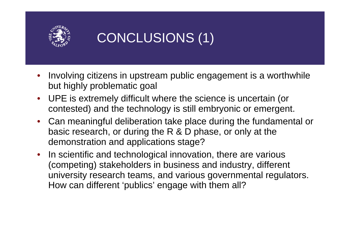

## CONCLUSIONS (1)

- • Involving citizens in upstream public engagement is a worthwhile but highly problematic goal
- •• UPE is extremely difficult where the science is uncertain (or contested) and the technology is still embryonic or emergent.
- $\bullet$  Can meaningful deliberation take place during the fundamental or basic research, or during the R & D phase, or only at the demonstration and applications stage?
- $\bullet$ • In scientific and technological innovation, there are various (competing) stakeholders in business and industry, different university research teams, and various governmental regulators. How can different 'publics' engage with them all?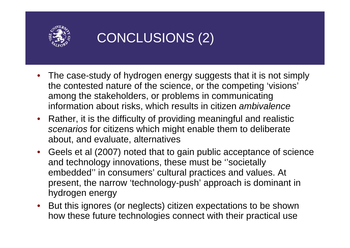

## CONCLUSIONS (2)

- The case-study of hydrogen energy suggests that it is not simply the contested nature of the science, or the competing 'visions' among the stakeholders, or problems in communicating information about risks, which results in citizen *ambivalence*
- •• Rather, it is the difficulty of providing meaningful and realistic *scenarios* for citizens which might enable them to deliberate about, and evaluate, alternatives
- Geels et al (2007) noted that to gain public acceptance of science and technology innovations, these must be ''societally embedded'' in consumers' cultural practices and values. At present, the narrow 'technology-push' approach is dominant in hydrogen energy
- But this ignores (or neglects) citizen expectations to be shown how these future technologies connect with their practical use